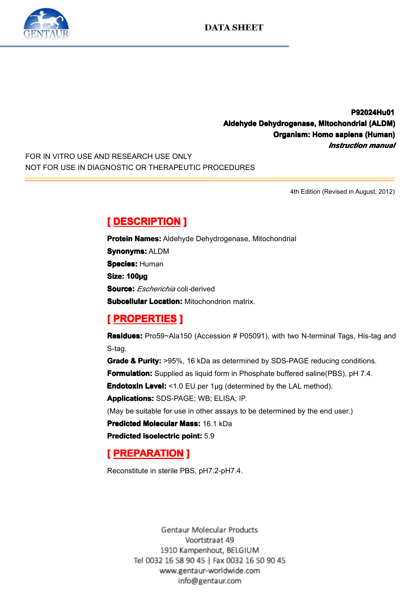

**P92024Hu01 P92024Hu01 Aldehyde Dehydrogenase, Mitochondrial (ALDM)**<br>**Organism: Homo sapiens (Human)**<br>*Instruction manual*<br>NOT FOR USE IN DIAGNOSTIC OR THERAPEUTIC PROCEDURES **Organism: Homo anism: sapiens <sup>o</sup> (Human) iens(Human)** *Instruction Instruction Instruction manual*

FOR IN VITRO USE AND RESEARCH USE ONLY NOT FOR USE IN DIAGNOSTIC OR THERAPEUTIC PROCEDURES

4th Edition (Revised in August, 2012)

**Example Bene Concerns Protein Names: Aldehy<br>
<b>Synonyms: ALDM**<br> **Species: Human<br>
Size: 100µg**<br>
Source: *Escherichio* col **Protein Names:** Aldehyde Dehydrogenase, Mitochondrial<br>**Synonyms:** ALDM<br>**Species:** Human<br>**Size: 100ug Synonyms Synonyms Synonyms:** ALDM **Species: Human** Size: 100µg<br>Size: 100µg<br>Subcellular<br> **[** PROPE **Source:** *Escherichia* coli*-*derived

**Subcellular Location:** Mitochondrion matrix.<br> **[ PROPERTIES ]**<br> **Residues:** Pro59~Ala150 (Accession # P05091), with two N-terminal Tags, His-tag and S-tag.

**Experiment Excelence of PROPERTIES**<br> **Residues:** Pro59~Ala<br>
S-tag.<br> **Grade & Purity:** >95%<br> **Formulation:** Supplied **Residues:** Pro59~Ala150 (Accession # P05091), with two N-terminal Tags, His-tag and S-tag.<br> **Grade & Purity:** >95%, 16 kDa as determined by SDS-PAGE reducing conditions.<br> **Formulation:** Supplied as liquid form in Phosphat **Grade & Purity:** >95%, 16 kDa as determined by SDS-PAGE reducing conditions.<br> **Formulation:** Supplied as liquid form in Phosphate buffered saline(PBS), pH 7.4.<br> **Endotoxin Level:** <1.0 EU per 1µg (determined by the LAL me **Formulation:** Supplied as liquid form in Phosphate buffered saline(PBS), pH 7.4.<br>**Endotoxin Level:** <1.0 EU per 1µg (determined by the LAL method).<br>**Applications:** SDS-PAGE; WB; ELISA; IP.<br>(May be suitable for use in othe

**Endotoxin Level:** <1.0 EU per 1µg (determined by the LAL method).<br>**Applications:** SDS-PAGE; WB; ELISA; IP.<br>(May be suitable for use in other assays to be determined by the end<br>**Predicted Molecular Mass:** 16.1 kDa<br>**Predict** 

**Applications:**SDS-PAGE; WB; ELISA; IP.<br>(May be suitable for use in other assays to<br>**Predicted Molecular Mass:** 16.1 kDa<br>**Predicted isoelectric point:** 5.9 (May be suitable for use in other assays to be determined by the end user.)<br> **Predicted Molecular Mass:** 16.1 kDa<br> **Predicted isoelectric point:** 5.9<br>
[**PREPARATION** ]

**Predicted Molecular Mass:** 16.1 kDa<br>**Predicted isoelectric point:** 5.9<br>**[ PREPARATION ]**<br>Reconstitute in sterile PBS, pH7.2-pH **Predicted Molecular Mass:** 16.1 kDa<br>**Predicted isoelectric point:** 5.9<br>**[ PREPARATION ]** 

# **PREPARATION**<br>Reconstitute in sterile PB

Reconstitute in sterile PBS, pH7.2-pH7.4.

Gentaur Molecular Products Voortstraat 49 1910 Kampenhout, BELGIUM Tel 0032 16 58 90 45 | Fax 0032 16 50 90 45 www.gentaur-worldwide.com info@gentaur.com